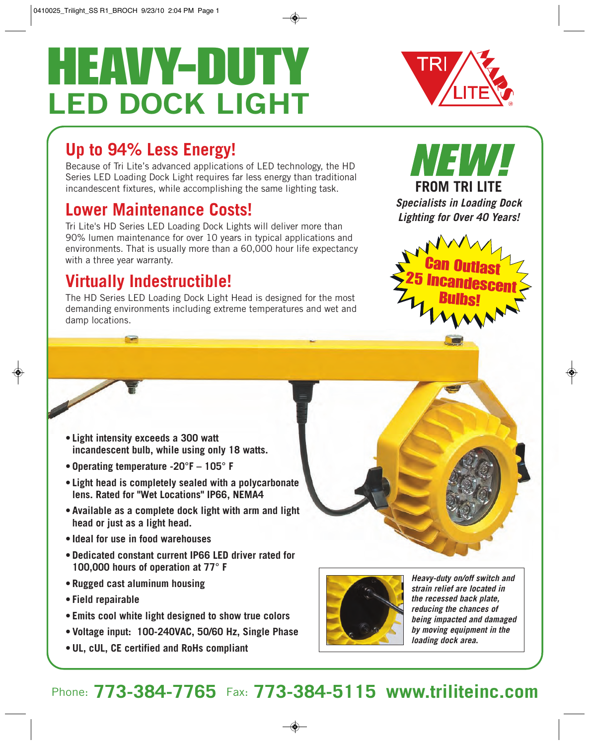# HEAVY-DUTY **LED DOCK LIGHT**

# **Up to 94% Less Energy!**

Because of Tri Lite's advanced applications of LED technology, the HD Series LED Loading Dock Light requires far less energy than traditional incandescent fixtures, while accomplishing the same lighting task.

## **Lower Maintenance Costs!**

Tri Lite's HD Series LED Loading Dock Lights will deliver more than 90% lumen maintenance for over 10 years in typical applications and environments. That is usually more than a 60,000 hour life expectancy with a three year warranty.

## **Virtually Indestructible!**

The HD Series LED Loading Dock Light Head is designed for the most demanding environments including extreme temperatures and wet and damp locations.



**FROM TRI LITE Specialists in Loading Dock Lighting for Over 40 Years!**

VEWL



- **Light intensity exceeds a 300 watt incandescent bulb, while using only 18 watts.**
- **Operating temperature -20°F 105° F**
- **Light head is completely sealed with a polycarbonate lens. Rated for "Wet Locations" IP66, NEMA4**
- **Available as a complete dock light with arm and light head or just as a light head.**
- **Ideal for use in food warehouses**
- **Dedicated constant current IP66 LED driver rated for 100,000 hours of operation at 77° F**
- **Rugged cast aluminum housing**
- **Field repairable**
- **Emits cool white light designed to show true colors**
- **Voltage input: 100-240VAC, 50/60 Hz, Single Phase**
- **UL, cUL, CE certified and RoHs compliant**



**Heavy-duty on/off switch and strain relief are located in the recessed back plate, reducing the chances of being impacted and damaged by moving equipment in the loading dock area.**

### Phone: **773-384-7765** Fax: **773-384-5115 www.triliteinc.com**